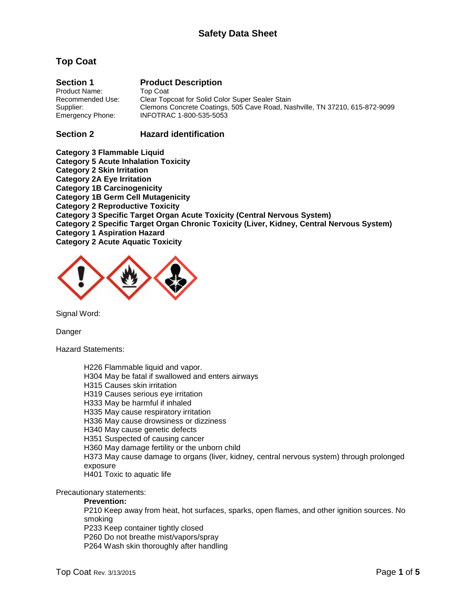# **Top Coat**

| <b>Section 1</b> | <b>Product Description</b>                                                  |
|------------------|-----------------------------------------------------------------------------|
| Product Name:    | Top Coat                                                                    |
| Recommended Use: | Clear Topcoat for Solid Color Super Sealer Stain                            |
| Supplier:        | Clemons Concrete Coatings, 505 Cave Road, Nashville, TN 37210, 615-872-9099 |
| Emergency Phone: | INFOTRAC 1-800-535-5053                                                     |

### **Section 2 Hazard identification**

**Category 3 Flammable Liquid Category 5 Acute Inhalation Toxicity Category 2 Skin Irritation Category 2A Eye Irritation Category 1B Carcinogenicity Category 1B Germ Cell Mutagenicity Category 2 Reproductive Toxicity Category 3 Specific Target Organ Acute Toxicity (Central Nervous System) Category 2 Specific Target Organ Chronic Toxicity (Liver, Kidney, Central Nervous System) Category 1 Aspiration Hazard Category 2 Acute Aquatic Toxicity**



Signal Word:

Danger

Hazard Statements:

H226 Flammable liquid and vapor. H304 May be fatal if swallowed and enters airways H315 Causes skin irritation H319 Causes serious eye irritation H333 May be harmful if inhaled H335 May cause respiratory irritation H336 May cause drowsiness or dizziness H340 May cause genetic defects H351 Suspected of causing cancer H360 May damage fertility or the unborn child H373 May cause damage to organs (liver, kidney, central nervous system) through prolonged exposure H401 Toxic to aquatic life

Precautionary statements:

### **Prevention:**

P210 Keep away from heat, hot surfaces, sparks, open flames, and other ignition sources. No smoking

P233 Keep container tightly closed

P260 Do not breathe mist/vapors/spray P264 Wash skin thoroughly after handling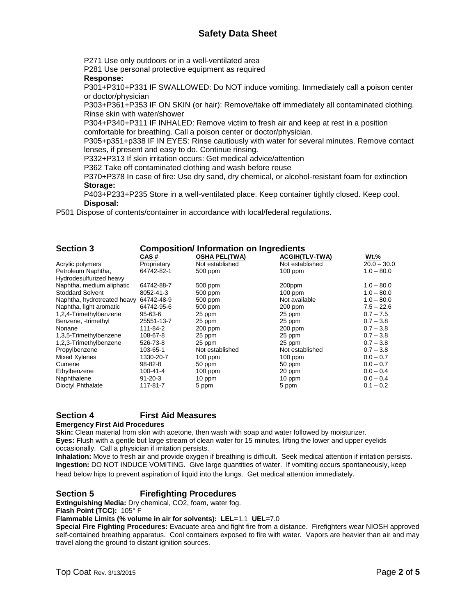# **Safety Data Sheet**

P271 Use only outdoors or in a well-ventilated area

P281 Use personal protective equipment as required

### **Response:**

P301+P310+P331 IF SWALLOWED: Do NOT induce vomiting. Immediately call a poison center or doctor/physician

P303+P361+P353 IF ON SKIN (or hair): Remove/take off immediately all contaminated clothing. Rinse skin with water/shower

P304+P340+P311 IF INHALED: Remove victim to fresh air and keep at rest in a position comfortable for breathing. Call a poison center or doctor/physician.

P305+p351+p338 IF IN EYES: Rinse cautiously with water for several minutes. Remove contact lenses, if present and easy to do. Continue rinsing.

P332+P313 If skin irritation occurs: Get medical advice/attention

P362 Take off contaminated clothing and wash before reuse

P370+P378 In case of fire: Use dry sand, dry chemical, or alcohol-resistant foam for extinction **Storage:**

P403+P233+P235 Store in a well-ventilated place. Keep container tightly closed. Keep cool. **Disposal:**

P501 Dispose of contents/container in accordance with local/federal regulations.

| <b>Section 3</b>            | <b>Composition/Information on Ingredients</b> |                      |                       |               |  |  |
|-----------------------------|-----------------------------------------------|----------------------|-----------------------|---------------|--|--|
|                             | CAS #                                         | <b>OSHA PEL(TWA)</b> | <b>ACGIH(TLV-TWA)</b> | $Wt.\%$       |  |  |
| Acrylic polymers            | Proprietary                                   | Not established      | Not established       | $20.0 - 30.0$ |  |  |
| Petroleum Naphtha,          | 64742-82-1                                    | 500 ppm              | $100$ ppm             | $1.0 - 80.0$  |  |  |
| Hydrodesulfurized heavy     |                                               |                      |                       |               |  |  |
| Naphtha, medium aliphatic   | 64742-88-7                                    | 500 ppm              | 200ppm                | $1.0 - 80.0$  |  |  |
| <b>Stoddard Solvent</b>     | 8052-41-3                                     | 500 ppm              | $100$ ppm             | $1.0 - 80.0$  |  |  |
| Naphtha, hydrotreated heavy | 64742-48-9                                    | 500 ppm              | Not available         | $1.0 - 80.0$  |  |  |
| Naphtha, light aromatic     | 64742-95-6                                    | 500 ppm              | 200 ppm               | $7.5 - 22.6$  |  |  |
| 1,2,4-Trimethylbenzene      | 95-63-6                                       | 25 ppm               | 25 ppm                | $0.7 - 7.5$   |  |  |
| Benzene, -trimethyl         | 25551-13-7                                    | 25 ppm               | 25 ppm                | $0.7 - 3.8$   |  |  |
| Nonane                      | 111-84-2                                      | $200$ ppm            | $200$ ppm             | $0.7 - 3.8$   |  |  |
| 1,3,5-Trimethylbenzene      | 108-67-8                                      | 25 ppm               | 25 ppm                | $0.7 - 3.8$   |  |  |
| 1,2,3-Trimethylbenzene      | 526-73-8                                      | 25 ppm               | 25 ppm                | $0.7 - 3.8$   |  |  |
| Propylbenzene               | 103-65-1                                      | Not established      | Not established       | $0.7 - 3.8$   |  |  |
| Mixed Xylenes               | 1330-20-7                                     | $100$ ppm            | $100$ ppm             | $0.0 - 0.7$   |  |  |
| Cumene                      | $98 - 82 - 8$                                 | 50 ppm               | 50 ppm                | $0.0 - 0.7$   |  |  |
| Ethylbenzene                | 100-41-4                                      | $100$ ppm            | 20 ppm                | $0.0 - 0.4$   |  |  |
| Naphthalene                 | 91-20-3                                       | 10 ppm               | 10 ppm                | $0.0 - 0.4$   |  |  |
| Dioctyl Phthalate           | 117-81-7                                      | 5 ppm                | 5 ppm                 | $0.1 - 0.2$   |  |  |

### **Section 4 First Aid Measures**

### **Emergency First Aid Procedures**

**Skin:** Clean material from skin with acetone, then wash with soap and water followed by moisturizer. **Eyes:** Flush with a gentle but large stream of clean water for 15 minutes, lifting the lower and upper eyelids occasionally. Call a physician if irritation persists.

**Inhalation:** Move to fresh air and provide oxygen if breathing is difficult. Seek medical attention if irritation persists. **Ingestion:** DO NOT INDUCE VOMITING. Give large quantities of water. If vomiting occurs spontaneously, keep head below hips to prevent aspiration of liquid into the lungs. Get medical attention immediately.

### **Section 5 Firefighting Procedures**

**Extinguishing Media:** Dry chemical, CO2, foam, water fog. **Flash Point (TCC):** 105° F

**Flammable Limits (% volume in air for solvents): LEL=**1.1 **UEL=**7.0

**Special Fire Fighting Procedures:** Evacuate area and fight fire from a distance. Firefighters wear NIOSH approved self-contained breathing apparatus. Cool containers exposed to fire with water. Vapors are heavier than air and may travel along the ground to distant ignition sources.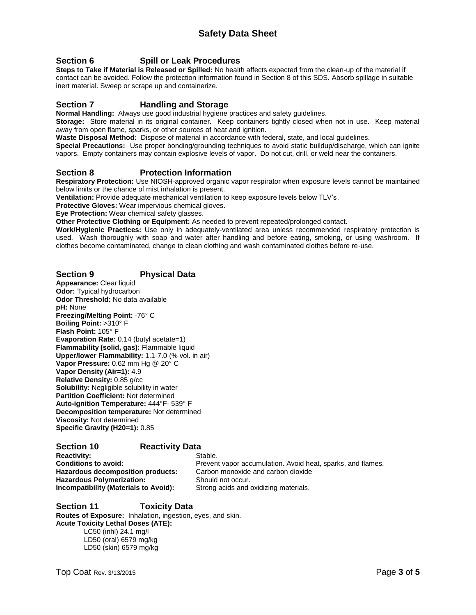### **Section 6 Spill or Leak Procedures**

**Steps to Take if Material is Released or Spilled:** No health affects expected from the clean-up of the material if contact can be avoided. Follow the protection information found in Section 8 of this SDS. Absorb spillage in suitable inert material. Sweep or scrape up and containerize.

### **Section 7 Handling and Storage**

**Normal Handling:** Always use good industrial hygiene practices and safety guidelines.

**Storage:** Store material in its original container. Keep containers tightly closed when not in use. Keep material away from open flame, sparks, or other sources of heat and ignition.

**Waste Disposal Method:** Dispose of material in accordance with federal, state, and local guidelines.

**Special Precautions:** Use proper bonding/grounding techniques to avoid static buildup/discharge, which can ignite vapors. Empty containers may contain explosive levels of vapor. Do not cut, drill, or weld near the containers.

### **Section 8 Protection Information**

**Respiratory Protection:** Use NIOSH-approved organic vapor respirator when exposure levels cannot be maintained below limits or the chance of mist inhalation is present.

**Ventilation:** Provide adequate mechanical ventilation to keep exposure levels below TLV's.

**Protective Gloves:** Wear impervious chemical gloves.

**Eye Protection:** Wear chemical safety glasses.

**Other Protective Clothing or Equipment:** As needed to prevent repeated/prolonged contact.

**Work/Hygienic Practices:** Use only in adequately-ventilated area unless recommended respiratory protection is used. Wash thoroughly with soap and water after handling and before eating, smoking, or using washroom. If clothes become contaminated, change to clean clothing and wash contaminated clothes before re-use.

### **Section 9 Physical Data**

**Appearance:** Clear liquid **Odor:** Typical hydrocarbon **Odor Threshold:** No data available **pH:** None **Freezing/Melting Point:** -76° C **Boiling Point:** >310° F **Flash Point:** 105° F **Evaporation Rate:** 0.14 (butyl acetate=1) **Flammability (solid, gas):** Flammable liquid **Upper/lower Flammability:** 1.1-7.0 (% vol. in air) **Vapor Pressure:** 0.62 mm Hg @ 20° C **Vapor Density (Air=1):** 4.9 **Relative Density:** 0.85 g/cc **Solubility:** Negligible solubility in water **Partition Coefficient:** Not determined **Auto-ignition Temperature:** 444°F- 539° F **Decomposition temperature:** Not determined **Viscosity:** Not determined **Specific Gravity (H20=1):** 0.85

### **Section 10 Reactivity Data**

**Reactivity:** Stable. **Hazardous decomposition products:** Carbon monoxide and carbon dioxide **Hazardous Polymerization:** Should not occur. **Incompatibility (Materials to Avoid):** Strong acids and oxidizing materials.

**Conditions to avoid:** Prevent vapor accumulation. Avoid heat, sparks, and flames.

### **Section 11 Toxicity Data Routes of Exposure:** Inhalation, ingestion, eyes, and skin. **Acute Toxicity Lethal Doses (ATE):** LC50 (inhl) 24.1 mg/l LD50 (oral) 6579 mg/kg LD50 (skin) 6579 mg/kg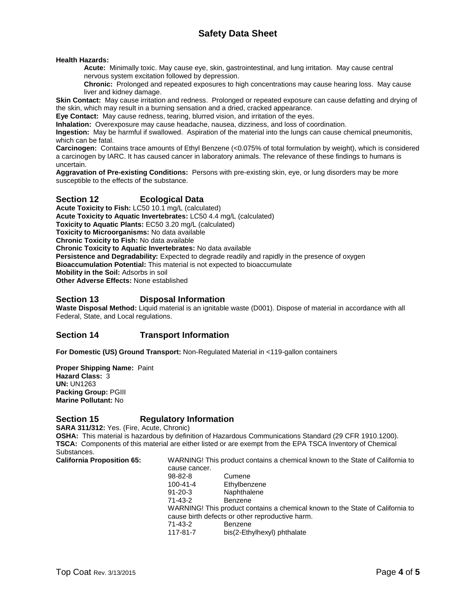**Health Hazards:**

**Acute:** Minimally toxic. May cause eye, skin, gastrointestinal, and lung irritation. May cause central nervous system excitation followed by depression.

**Chronic:** Prolonged and repeated exposures to high concentrations may cause hearing loss. May cause liver and kidney damage.

**Skin Contact:** May cause irritation and redness. Prolonged or repeated exposure can cause defatting and drying of the skin, which may result in a burning sensation and a dried, cracked appearance.

**Eye Contact:** May cause redness, tearing, blurred vision, and irritation of the eyes.

**Inhalation:** Overexposure may cause headache, nausea, dizziness, and loss of coordination.

**Ingestion:** May be harmful if swallowed. Aspiration of the material into the lungs can cause chemical pneumonitis, which can be fatal.

**Carcinogen:** Contains trace amounts of Ethyl Benzene (<0.075% of total formulation by weight), which is considered a carcinogen by IARC. It has caused cancer in laboratory animals. The relevance of these findings to humans is uncertain.

**Aggravation of Pre-existing Conditions:** Persons with pre-existing skin, eye, or lung disorders may be more susceptible to the effects of the substance.

### **Section 12 Ecological Data**

**Acute Toxicity to Fish:** LC50 10.1 mg/L (calculated) **Acute Toxicity to Aquatic Invertebrates:** LC50 4.4 mg/L (calculated) **Toxicity to Aquatic Plants:** EC50 3.20 mg/L (calculated) **Toxicity to Microorganisms:** No data available **Chronic Toxicity to Fish:** No data available **Chronic Toxicity to Aquatic Invertebrates:** No data available Persistence and Degradability: Expected to degrade readily and rapidly in the presence of oxygen **Bioaccumulation Potential:** This material is not expected to bioaccumulate **Mobility in the Soil:** Adsorbs in soil **Other Adverse Effects:** None established

### **Section 13 Disposal Information**

**Waste Disposal Method:** Liquid material is an ignitable waste (D001). Dispose of material in accordance with all Federal, State, and Local regulations.

### **Section 14 Transport Information**

**For Domestic (US) Ground Transport:** Non-Regulated Material in <119-gallon containers

**Proper Shipping Name:** Paint **Hazard Class:** 3 **UN:** UN1263 **Packing Group:** PGIII **Marine Pollutant:** No

### **Section 15 Regulatory Information**

**SARA 311/312:** Yes. (Fire, Acute, Chronic) **OSHA:** This material is hazardous by definition of Hazardous Communications Standard (29 CFR 1910.1200). **TSCA:** Components of this material are either listed or are exempt from the EPA TSCA Inventory of Chemical Substances.

**California Proposition 65:** WARNING! This product contains a chemical known to the State of California to

| cause cancer.                                                                 |                             |  |  |  |
|-------------------------------------------------------------------------------|-----------------------------|--|--|--|
| 98-82-8                                                                       | Cumene                      |  |  |  |
| $100 - 41 - 4$                                                                | Ethylbenzene                |  |  |  |
| $91 - 20 - 3$                                                                 | Naphthalene                 |  |  |  |
| 71-43-2                                                                       | <b>Benzene</b>              |  |  |  |
| WARNING! This product contains a chemical known to the State of California to |                             |  |  |  |
| cause birth defects or other reproductive harm.                               |                             |  |  |  |
| 71-43-2                                                                       | Benzene                     |  |  |  |
| 117-81-7                                                                      | bis(2-Ethylhexyl) phthalate |  |  |  |
|                                                                               |                             |  |  |  |